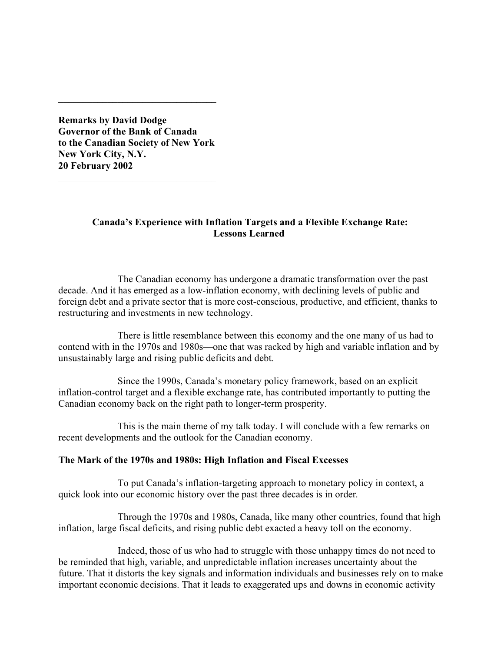**Remarks by David Dodge Governor of the Bank of Canada to the Canadian Society of New York New York City, N.Y. 20 February 2002**

\_\_\_\_\_\_\_\_\_\_\_\_\_\_\_\_\_\_\_\_\_\_\_\_\_\_\_\_\_\_\_\_

**\_\_\_\_\_\_\_\_\_\_\_\_\_\_\_\_\_\_\_\_\_\_\_\_\_\_\_\_\_\_\_\_**

# **Canada's Experience with Inflation Targets and a Flexible Exchange Rate: Lessons Learned**

The Canadian economy has undergone a dramatic transformation over the past decade. And it has emerged as a low-inflation economy, with declining levels of public and foreign debt and a private sector that is more cost-conscious, productive, and efficient, thanks to restructuring and investments in new technology.

There is little resemblance between this economy and the one many of us had to contend with in the 1970s and 1980s—one that was racked by high and variable inflation and by unsustainably large and rising public deficits and debt.

Since the 1990s, Canada's monetary policy framework, based on an explicit inflation-control target and a flexible exchange rate, has contributed importantly to putting the Canadian economy back on the right path to longer-term prosperity.

This is the main theme of my talk today. I will conclude with a few remarks on recent developments and the outlook for the Canadian economy.

# **The Mark of the 1970s and 1980s: High Inflation and Fiscal Excesses**

To put Canada's inflation-targeting approach to monetary policy in context, a quick look into our economic history over the past three decades is in order.

Through the 1970s and 1980s, Canada, like many other countries, found that high inflation, large fiscal deficits, and rising public debt exacted a heavy toll on the economy.

Indeed, those of us who had to struggle with those unhappy times do not need to be reminded that high, variable, and unpredictable inflation increases uncertainty about the future. That it distorts the key signals and information individuals and businesses rely on to make important economic decisions. That it leads to exaggerated ups and downs in economic activity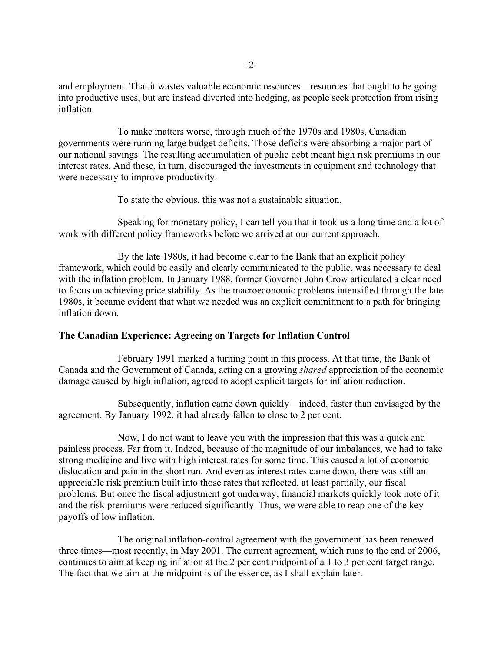and employment. That it wastes valuable economic resources—resources that ought to be going into productive uses, but are instead diverted into hedging, as people seek protection from rising inflation.

To make matters worse, through much of the 1970s and 1980s, Canadian governments were running large budget deficits. Those deficits were absorbing a major part of our national savings. The resulting accumulation of public debt meant high risk premiums in our interest rates. And these, in turn, discouraged the investments in equipment and technology that were necessary to improve productivity.

To state the obvious, this was not a sustainable situation.

Speaking for monetary policy, I can tell you that it took us a long time and a lot of work with different policy frameworks before we arrived at our current approach.

By the late 1980s, it had become clear to the Bank that an explicit policy framework, which could be easily and clearly communicated to the public, was necessary to deal with the inflation problem. In January 1988, former Governor John Crow articulated a clear need to focus on achieving price stability. As the macroeconomic problems intensified through the late 1980s, it became evident that what we needed was an explicit commitment to a path for bringing inflation down.

### **The Canadian Experience: Agreeing on Targets for Inflation Control**

February 1991 marked a turning point in this process. At that time, the Bank of Canada and the Government of Canada, acting on a growing *shared* appreciation of the economic damage caused by high inflation, agreed to adopt explicit targets for inflation reduction.

Subsequently, inflation came down quickly—indeed, faster than envisaged by the agreement. By January 1992, it had already fallen to close to 2 per cent.

Now, I do not want to leave you with the impression that this was a quick and painless process. Far from it. Indeed, because of the magnitude of our imbalances, we had to take strong medicine and live with high interest rates for some time. This caused a lot of economic dislocation and pain in the short run. And even as interest rates came down, there was still an appreciable risk premium built into those rates that reflected, at least partially, our fiscal problems. But once the fiscal adjustment got underway, financial markets quickly took note of it and the risk premiums were reduced significantly. Thus, we were able to reap one of the key payoffs of low inflation.

The original inflation-control agreement with the government has been renewed three times—most recently, in May 2001. The current agreement, which runs to the end of 2006, continues to aim at keeping inflation at the 2 per cent midpoint of a 1 to 3 per cent target range. The fact that we aim at the midpoint is of the essence, as I shall explain later.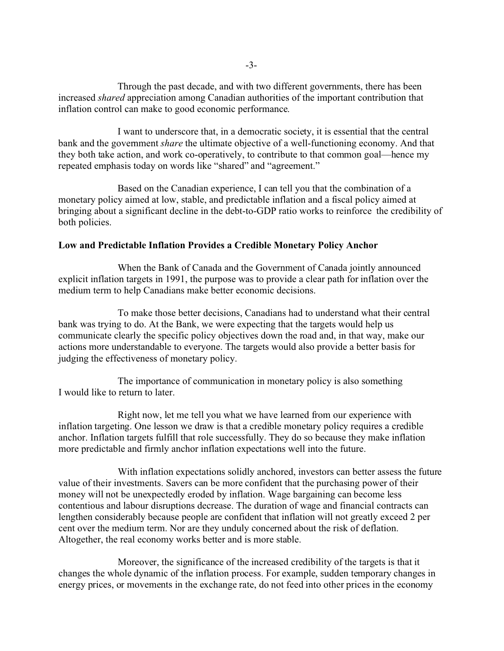Through the past decade, and with two different governments, there has been increased *shared* appreciation among Canadian authorities of the important contribution that inflation control can make to good economic performance.

I want to underscore that, in a democratic society, it is essential that the central bank and the government *share* the ultimate objective of a well-functioning economy. And that they both take action, and work co-operatively, to contribute to that common goal—hence my repeated emphasis today on words like "shared" and "agreement."

Based on the Canadian experience, I can tell you that the combination of a monetary policy aimed at low, stable, and predictable inflation and a fiscal policy aimed at bringing about a significant decline in the debt-to-GDP ratio works to reinforce the credibility of both policies.

## **Low and Predictable Inflation Provides a Credible Monetary Policy Anchor**

When the Bank of Canada and the Government of Canada jointly announced explicit inflation targets in 1991, the purpose was to provide a clear path for inflation over the medium term to help Canadians make better economic decisions.

To make those better decisions, Canadians had to understand what their central bank was trying to do. At the Bank, we were expecting that the targets would help us communicate clearly the specific policy objectives down the road and, in that way, make our actions more understandable to everyone. The targets would also provide a better basis for judging the effectiveness of monetary policy.

The importance of communication in monetary policy is also something I would like to return to later.

Right now, let me tell you what we have learned from our experience with inflation targeting. One lesson we draw is that a credible monetary policy requires a credible anchor. Inflation targets fulfill that role successfully. They do so because they make inflation more predictable and firmly anchor inflation expectations well into the future.

With inflation expectations solidly anchored, investors can better assess the future value of their investments. Savers can be more confident that the purchasing power of their money will not be unexpectedly eroded by inflation. Wage bargaining can become less contentious and labour disruptions decrease. The duration of wage and financial contracts can lengthen considerably because people are confident that inflation will not greatly exceed 2 per cent over the medium term. Nor are they unduly concerned about the risk of deflation. Altogether, the real economy works better and is more stable.

Moreover, the significance of the increased credibility of the targets is that it changes the whole dynamic of the inflation process. For example, sudden temporary changes in energy prices, or movements in the exchange rate, do not feed into other prices in the economy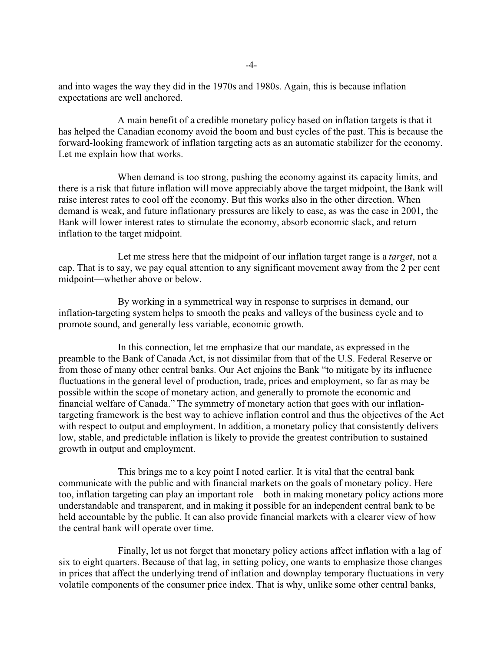and into wages the way they did in the 1970s and 1980s. Again, this is because inflation expectations are well anchored.

A main benefit of a credible monetary policy based on inflation targets is that it has helped the Canadian economy avoid the boom and bust cycles of the past. This is because the forward-looking framework of inflation targeting acts as an automatic stabilizer for the economy. Let me explain how that works.

When demand is too strong, pushing the economy against its capacity limits, and there is a risk that future inflation will move appreciably above the target midpoint, the Bank will raise interest rates to cool off the economy. But this works also in the other direction. When demand is weak, and future inflationary pressures are likely to ease, as was the case in 2001, the Bank will lower interest rates to stimulate the economy, absorb economic slack, and return inflation to the target midpoint.

Let me stress here that the midpoint of our inflation target range is a *target*, not a cap. That is to say, we pay equal attention to any significant movement away from the 2 per cent midpoint—whether above or below.

By working in a symmetrical way in response to surprises in demand, our inflation-targeting system helps to smooth the peaks and valleys of the business cycle and to promote sound, and generally less variable, economic growth.

In this connection, let me emphasize that our mandate, as expressed in the preamble to the Bank of Canada Act, is not dissimilar from that of the U.S. Federal Reserve or from those of many other central banks. Our Act enjoins the Bank "to mitigate by its influence fluctuations in the general level of production, trade, prices and employment, so far as may be possible within the scope of monetary action, and generally to promote the economic and financial welfare of Canada." The symmetry of monetary action that goes with our inflationtargeting framework is the best way to achieve inflation control and thus the objectives of the Act with respect to output and employment. In addition, a monetary policy that consistently delivers low, stable, and predictable inflation is likely to provide the greatest contribution to sustained growth in output and employment.

This brings me to a key point I noted earlier. It is vital that the central bank communicate with the public and with financial markets on the goals of monetary policy. Here too, inflation targeting can play an important role—both in making monetary policy actions more understandable and transparent, and in making it possible for an independent central bank to be held accountable by the public. It can also provide financial markets with a clearer view of how the central bank will operate over time.

Finally, let us not forget that monetary policy actions affect inflation with a lag of six to eight quarters. Because of that lag, in setting policy, one wants to emphasize those changes in prices that affect the underlying trend of inflation and downplay temporary fluctuations in very volatile components of the consumer price index. That is why, unlike some other central banks,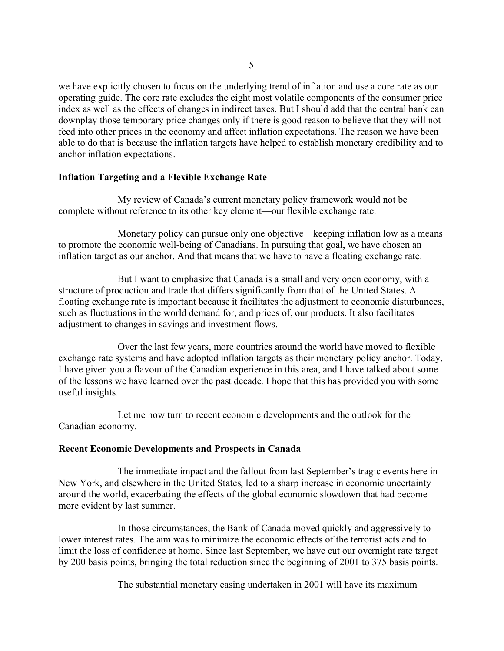we have explicitly chosen to focus on the underlying trend of inflation and use a core rate as our operating guide. The core rate excludes the eight most volatile components of the consumer price index as well as the effects of changes in indirect taxes. But I should add that the central bank can downplay those temporary price changes only if there is good reason to believe that they will not feed into other prices in the economy and affect inflation expectations. The reason we have been able to do that is because the inflation targets have helped to establish monetary credibility and to anchor inflation expectations.

## **Inflation Targeting and a Flexible Exchange Rate**

My review of Canada's current monetary policy framework would not be complete without reference to its other key element—our flexible exchange rate.

Monetary policy can pursue only one objective—keeping inflation low as a means to promote the economic well-being of Canadians. In pursuing that goal, we have chosen an inflation target as our anchor. And that means that we have to have a floating exchange rate.

But I want to emphasize that Canada is a small and very open economy, with a structure of production and trade that differs significantly from that of the United States. A floating exchange rate is important because it facilitates the adjustment to economic disturbances, such as fluctuations in the world demand for, and prices of, our products. It also facilitates adjustment to changes in savings and investment flows.

Over the last few years, more countries around the world have moved to flexible exchange rate systems and have adopted inflation targets as their monetary policy anchor. Today, I have given you a flavour of the Canadian experience in this area, and I have talked about some of the lessons we have learned over the past decade. I hope that this has provided you with some useful insights.

Let me now turn to recent economic developments and the outlook for the Canadian economy.

### **Recent Economic Developments and Prospects in Canada**

The immediate impact and the fallout from last September's tragic events here in New York, and elsewhere in the United States, led to a sharp increase in economic uncertainty around the world, exacerbating the effects of the global economic slowdown that had become more evident by last summer.

In those circumstances, the Bank of Canada moved quickly and aggressively to lower interest rates. The aim was to minimize the economic effects of the terrorist acts and to limit the loss of confidence at home. Since last September, we have cut our overnight rate target by 200 basis points, bringing the total reduction since the beginning of 2001 to 375 basis points.

The substantial monetary easing undertaken in 2001 will have its maximum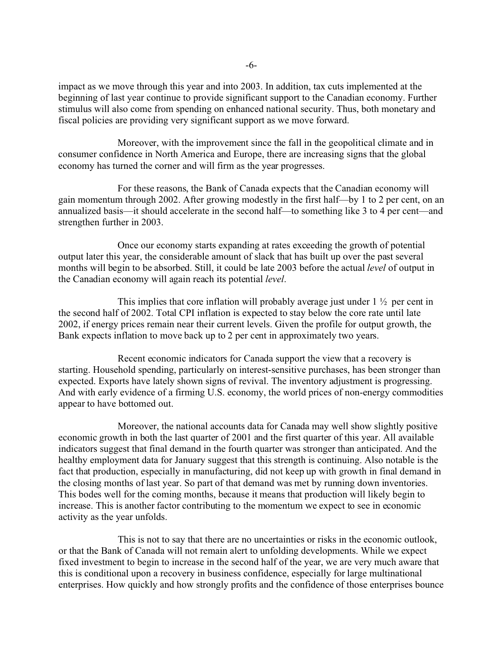impact as we move through this year and into 2003. In addition, tax cuts implemented at the beginning of last year continue to provide significant support to the Canadian economy. Further stimulus will also come from spending on enhanced national security. Thus, both monetary and fiscal policies are providing very significant support as we move forward.

Moreover, with the improvement since the fall in the geopolitical climate and in consumer confidence in North America and Europe, there are increasing signs that the global economy has turned the corner and will firm as the year progresses.

For these reasons, the Bank of Canada expects that the Canadian economy will gain momentum through 2002. After growing modestly in the first half—by 1 to 2 per cent, on an annualized basis—it should accelerate in the second half—to something like 3 to 4 per cent—and strengthen further in 2003.

Once our economy starts expanding at rates exceeding the growth of potential output later this year, the considerable amount of slack that has built up over the past several months will begin to be absorbed. Still, it could be late 2003 before the actual *level* of output in the Canadian economy will again reach its potential *level*.

This implies that core inflation will probably average just under  $1 \frac{1}{2}$  per cent in the second half of 2002. Total CPI inflation is expected to stay below the core rate until late 2002, if energy prices remain near their current levels. Given the profile for output growth, the Bank expects inflation to move back up to 2 per cent in approximately two years.

Recent economic indicators for Canada support the view that a recovery is starting. Household spending, particularly on interest-sensitive purchases, has been stronger than expected. Exports have lately shown signs of revival. The inventory adjustment is progressing. And with early evidence of a firming U.S. economy, the world prices of non-energy commodities appear to have bottomed out.

Moreover, the national accounts data for Canada may well show slightly positive economic growth in both the last quarter of 2001 and the first quarter of this year. All available indicators suggest that final demand in the fourth quarter was stronger than anticipated. And the healthy employment data for January suggest that this strength is continuing. Also notable is the fact that production, especially in manufacturing, did not keep up with growth in final demand in the closing months of last year. So part of that demand was met by running down inventories. This bodes well for the coming months, because it means that production will likely begin to increase. This is another factor contributing to the momentum we expect to see in economic activity as the year unfolds.

This is not to say that there are no uncertainties or risks in the economic outlook, or that the Bank of Canada will not remain alert to unfolding developments. While we expect fixed investment to begin to increase in the second half of the year, we are very much aware that this is conditional upon a recovery in business confidence, especially for large multinational enterprises. How quickly and how strongly profits and the confidence of those enterprises bounce